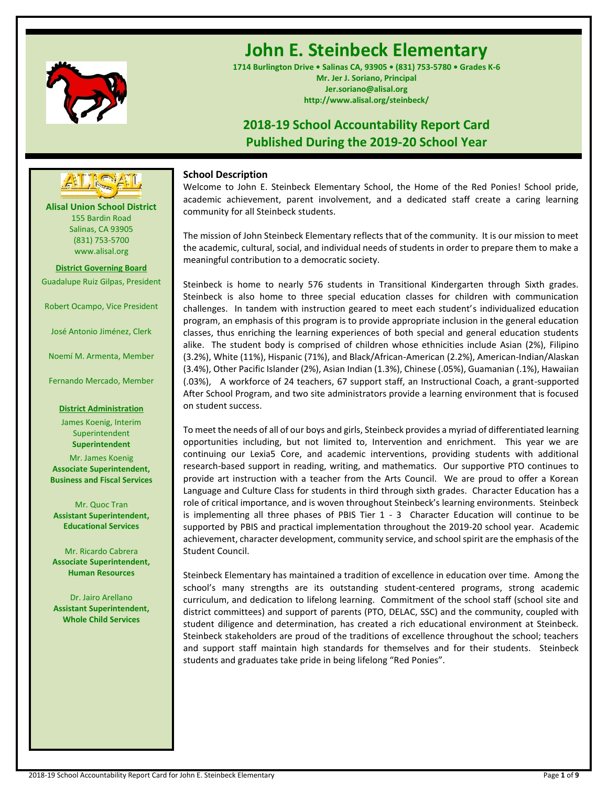

# **John E. Steinbeck Elementary**

**1714 Burlington Drive • Salinas CA, 93905 • (831) 753-5780 • Grades K-6 Mr. Jer J. Soriano, Principal Jer.soriano@alisal.org http://www.alisal.org/steinbeck/**

## **2018-19 School Accountability Report Card Published During the 2019-20 School Year**



**Alisal Union School District** 155 Bardin Road Salinas, CA 93905 (831) 753-5700 www.alisal.org

**District Governing Board** Guadalupe Ruiz Gilpas, President

Robert Ocampo, Vice President

José Antonio Jiménez, Clerk

Noemí M. Armenta, Member

Fernando Mercado, Member

#### **District Administration**

James Koenig, Interim Superintendent **Superintendent**

Mr. James Koenig **Associate Superintendent, Business and Fiscal Services**

Mr. Quoc Tran **Assistant Superintendent, Educational Services**

Mr. Ricardo Cabrera **Associate Superintendent, Human Resources**

Dr. Jairo Arellano **Assistant Superintendent, Whole Child Services**

## **School Description**

Welcome to John E. Steinbeck Elementary School, the Home of the Red Ponies! School pride, academic achievement, parent involvement, and a dedicated staff create a caring learning community for all Steinbeck students.

The mission of John Steinbeck Elementary reflects that of the community. It is our mission to meet the academic, cultural, social, and individual needs of students in order to prepare them to make a meaningful contribution to a democratic society.

Steinbeck is home to nearly 576 students in Transitional Kindergarten through Sixth grades. Steinbeck is also home to three special education classes for children with communication challenges. In tandem with instruction geared to meet each student's individualized education program, an emphasis of this program is to provide appropriate inclusion in the general education classes, thus enriching the learning experiences of both special and general education students alike. The student body is comprised of children whose ethnicities include Asian (2%), Filipino (3.2%), White (11%), Hispanic (71%), and Black/African-American (2.2%), American-Indian/Alaskan (3.4%), Other Pacific Islander (2%), Asian Indian (1.3%), Chinese (.05%), Guamanian (.1%), Hawaiian (.03%), A workforce of 24 teachers, 67 support staff, an Instructional Coach, a grant-supported After School Program, and two site administrators provide a learning environment that is focused on student success.

To meet the needs of all of our boys and girls, Steinbeck provides a myriad of differentiated learning opportunities including, but not limited to, Intervention and enrichment. This year we are continuing our Lexia5 Core, and academic interventions, providing students with additional research-based support in reading, writing, and mathematics. Our supportive PTO continues to provide art instruction with a teacher from the Arts Council. We are proud to offer a Korean Language and Culture Class for students in third through sixth grades. Character Education has a role of critical importance, and is woven throughout Steinbeck's learning environments. Steinbeck is implementing all three phases of PBIS Tier 1 - 3 Character Education will continue to be supported by PBIS and practical implementation throughout the 2019-20 school year. Academic achievement, character development, community service, and school spirit are the emphasis of the Student Council.

Steinbeck Elementary has maintained a tradition of excellence in education over time. Among the school's many strengths are its outstanding student-centered programs, strong academic curriculum, and dedication to lifelong learning. Commitment of the school staff (school site and district committees) and support of parents (PTO, DELAC, SSC) and the community, coupled with student diligence and determination, has created a rich educational environment at Steinbeck. Steinbeck stakeholders are proud of the traditions of excellence throughout the school; teachers and support staff maintain high standards for themselves and for their students. Steinbeck students and graduates take pride in being lifelong "Red Ponies".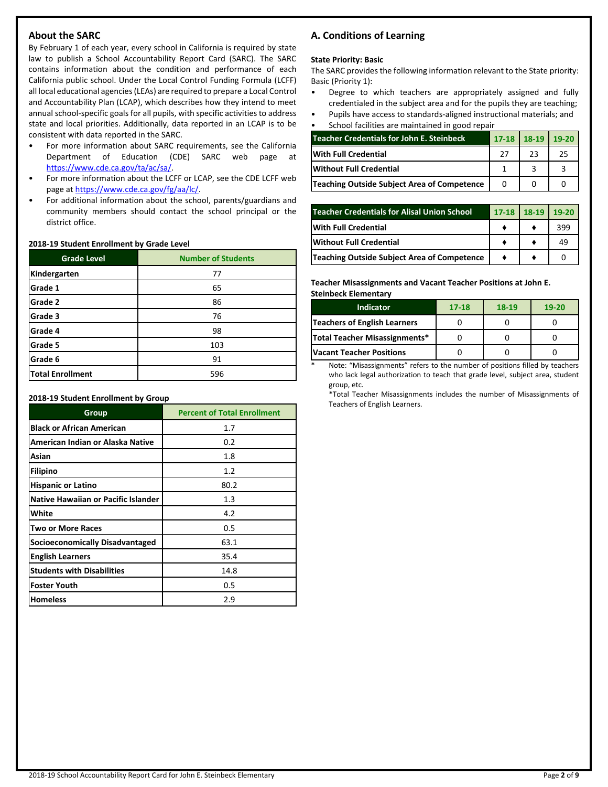## **About the SARC**

By February 1 of each year, every school in California is required by state law to publish a School Accountability Report Card (SARC). The SARC contains information about the condition and performance of each California public school. Under the Local Control Funding Formula (LCFF) all local educational agencies (LEAs) are required to prepare a Local Control and Accountability Plan (LCAP), which describes how they intend to meet annual school-specific goals for all pupils, with specific activities to address state and local priorities. Additionally, data reported in an LCAP is to be consistent with data reported in the SARC.

- For more information about SARC requirements, see the California Department of Education (CDE) SARC web page at [https://www.cde.ca.gov/ta/ac/sa/.](https://www.cde.ca.gov/ta/ac/sa/)
- For more information about the LCFF or LCAP, see the CDE LCFF web page at [https://www.cde.ca.gov/fg/aa/lc/.](https://www.cde.ca.gov/fg/aa/lc/)
- For additional information about the school, parents/guardians and community members should contact the school principal or the district office.

#### **2018-19 Student Enrollment by Grade Level**

| <b>Grade Level</b>      | <b>Number of Students</b> |
|-------------------------|---------------------------|
| Kindergarten            | 77                        |
| Grade 1                 | 65                        |
| Grade 2                 | 86                        |
| Grade 3                 | 76                        |
| Grade 4                 | 98                        |
| Grade 5                 | 103                       |
| Grade 6                 | 91                        |
| <b>Total Enrollment</b> | 596                       |

#### **2018-19 Student Enrollment by Group**

| Group                                  | <b>Percent of Total Enrollment</b> |
|----------------------------------------|------------------------------------|
| <b>Black or African American</b>       | 1.7                                |
| American Indian or Alaska Native       | 0.2                                |
| Asian                                  | 1.8                                |
| Filipino                               | 1.2                                |
| <b>Hispanic or Latino</b>              | 80.2                               |
| Native Hawaiian or Pacific Islander    | 1.3                                |
| White                                  | 4.2                                |
| Two or More Races                      | 0.5                                |
| <b>Socioeconomically Disadvantaged</b> | 63.1                               |
| <b>English Learners</b>                | 35.4                               |
| <b>Students with Disabilities</b>      | 14.8                               |
| <b>Foster Youth</b>                    | 0.5                                |
| <b>Homeless</b>                        | 2.9                                |

## **A. Conditions of Learning**

### **State Priority: Basic**

The SARC provides the following information relevant to the State priority: Basic (Priority 1):

- Degree to which teachers are appropriately assigned and fully credentialed in the subject area and for the pupils they are teaching;
- Pupils have access to standards-aligned instructional materials; and • School facilities are maintained in good repair

| Scribbi Tacilities are maintained in good repair |    |                   |    |  |  |
|--------------------------------------------------|----|-------------------|----|--|--|
| Teacher Credentials for John E. Steinbeck        |    | 17-18 18-19 19-20 |    |  |  |
| <b>With Full Credential</b>                      | 27 | 23                | 25 |  |  |
| <b>Without Full Credential</b>                   |    |                   |    |  |  |
| Teaching Outside Subject Area of Competence      |    |                   |    |  |  |

| Teacher Credentials for Alisal Union School | 17-18 18-19 | $19-20$ |
|---------------------------------------------|-------------|---------|
| <b>IWith Full Credential</b>                |             | 399     |
| <b>Without Full Credential</b>              |             | 49      |
| Teaching Outside Subject Area of Competence |             |         |

#### **Teacher Misassignments and Vacant Teacher Positions at John E. Steinbeck Elementary**

| $17 - 18$ | 18-19 | $19 - 20$ |
|-----------|-------|-----------|
|           |       |           |
|           |       |           |
|           |       |           |
|           |       |           |

Note: "Misassignments" refers to the number of positions filled by teachers who lack legal authorization to teach that grade level, subject area, student group, etc.

\*Total Teacher Misassignments includes the number of Misassignments of Teachers of English Learners.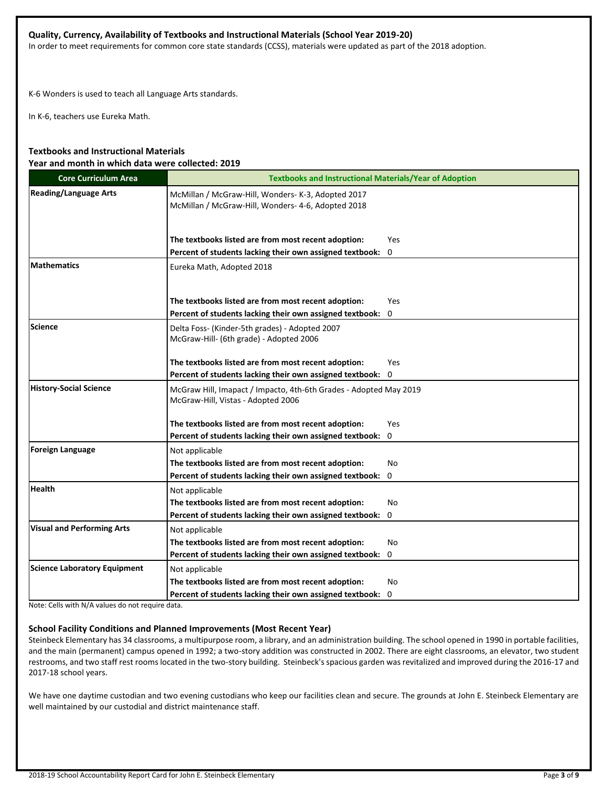## **Quality, Currency, Availability of Textbooks and Instructional Materials (School Year 2019-20)**

In order to meet requirements for common core state standards (CCSS), materials were updated as part of the 2018 adoption.

K-6 Wonders is used to teach all Language Arts standards.

In K-6, teachers use Eureka Math.

#### **Textbooks and Instructional Materials Year and month in which data were collected: 2019**

| <b>Core Curriculum Area</b>         | <b>Textbooks and Instructional Materials/Year of Adoption</b>                                            |            |  |  |  |
|-------------------------------------|----------------------------------------------------------------------------------------------------------|------------|--|--|--|
| <b>Reading/Language Arts</b>        | McMillan / McGraw-Hill, Wonders- K-3, Adopted 2017<br>McMillan / McGraw-Hill, Wonders- 4-6, Adopted 2018 |            |  |  |  |
|                                     | The textbooks listed are from most recent adoption:                                                      | Yes.       |  |  |  |
|                                     | Percent of students lacking their own assigned textbook:                                                 | 0          |  |  |  |
| <b>Mathematics</b>                  | Eureka Math, Adopted 2018                                                                                |            |  |  |  |
|                                     | The textbooks listed are from most recent adoption:                                                      | Yes.       |  |  |  |
|                                     | Percent of students lacking their own assigned textbook: 0                                               |            |  |  |  |
| <b>Science</b>                      | Delta Foss- (Kinder-5th grades) - Adopted 2007<br>McGraw-Hill- (6th grade) - Adopted 2006                |            |  |  |  |
|                                     | The textbooks listed are from most recent adoption:                                                      | <b>Yes</b> |  |  |  |
|                                     | Percent of students lacking their own assigned textbook:                                                 | 0          |  |  |  |
| <b>History-Social Science</b>       | McGraw Hill, Imapact / Impacto, 4th-6th Grades - Adopted May 2019<br>McGraw-Hill, Vistas - Adopted 2006  |            |  |  |  |
|                                     | The textbooks listed are from most recent adoption:                                                      | Yes        |  |  |  |
|                                     | Percent of students lacking their own assigned textbook:                                                 | 0          |  |  |  |
| <b>Foreign Language</b>             | Not applicable                                                                                           |            |  |  |  |
|                                     | The textbooks listed are from most recent adoption:                                                      | No         |  |  |  |
|                                     | Percent of students lacking their own assigned textbook:                                                 | 0          |  |  |  |
| <b>Health</b>                       | Not applicable                                                                                           |            |  |  |  |
|                                     | The textbooks listed are from most recent adoption:                                                      | No         |  |  |  |
|                                     | Percent of students lacking their own assigned textbook:                                                 | 0          |  |  |  |
| <b>Visual and Performing Arts</b>   | Not applicable                                                                                           |            |  |  |  |
|                                     | The textbooks listed are from most recent adoption:                                                      | No         |  |  |  |
|                                     | Percent of students lacking their own assigned textbook:                                                 | 0          |  |  |  |
| <b>Science Laboratory Equipment</b> | Not applicable                                                                                           |            |  |  |  |
|                                     | The textbooks listed are from most recent adoption:                                                      | No         |  |  |  |
|                                     | Percent of students lacking their own assigned textbook:                                                 | 0          |  |  |  |

Note: Cells with N/A values do not require data.

#### **School Facility Conditions and Planned Improvements (Most Recent Year)**

Steinbeck Elementary has 34 classrooms, a multipurpose room, a library, and an administration building. The school opened in 1990 in portable facilities, and the main (permanent) campus opened in 1992; a two-story addition was constructed in 2002. There are eight classrooms, an elevator, two student restrooms, and two staff rest rooms located in the two-story building. Steinbeck's spacious garden was revitalized and improved during the 2016-17 and 2017-18 school years.

We have one daytime custodian and two evening custodians who keep our facilities clean and secure. The grounds at John E. Steinbeck Elementary are well maintained by our custodial and district maintenance staff.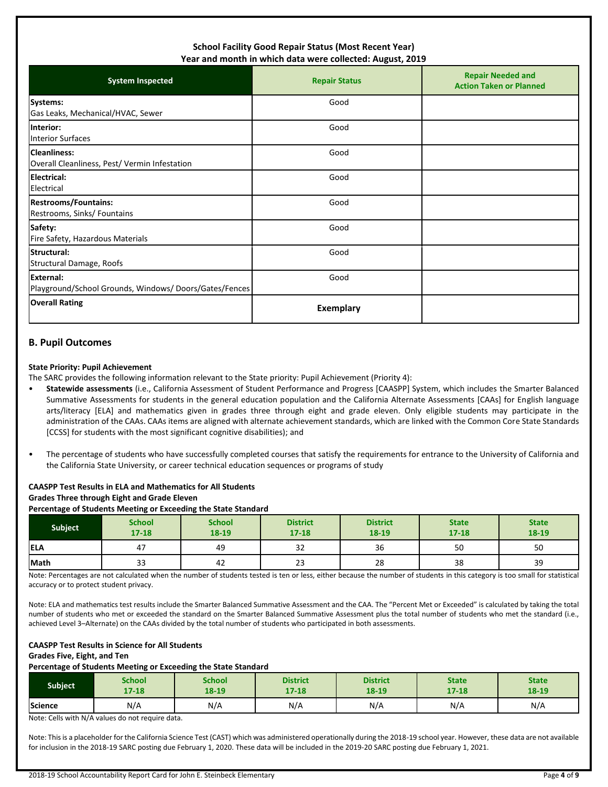#### **School Facility Good Repair Status (Most Recent Year) Year and month in which data were collected: August, 2019**

| <b>System Inspected</b>                                             | <b>Repair Status</b> | <b>Repair Needed and</b><br><b>Action Taken or Planned</b> |
|---------------------------------------------------------------------|----------------------|------------------------------------------------------------|
| Systems:<br>Gas Leaks, Mechanical/HVAC, Sewer                       | Good                 |                                                            |
| Interior:<br><b>Interior Surfaces</b>                               | Good                 |                                                            |
| <b>Cleanliness:</b><br>Overall Cleanliness, Pest/Vermin Infestation | Good                 |                                                            |
| Electrical:<br>Electrical                                           | Good                 |                                                            |
| <b>Restrooms/Fountains:</b><br>Restrooms, Sinks/ Fountains          | Good                 |                                                            |
| Safety:<br>Fire Safety, Hazardous Materials                         | Good                 |                                                            |
| Structural:<br>Structural Damage, Roofs                             | Good                 |                                                            |
| External:<br>Playground/School Grounds, Windows/Doors/Gates/Fences  | Good                 |                                                            |
| <b>Overall Rating</b>                                               | <b>Exemplary</b>     |                                                            |

## **B. Pupil Outcomes**

#### **State Priority: Pupil Achievement**

The SARC provides the following information relevant to the State priority: Pupil Achievement (Priority 4):

- **Statewide assessments** (i.e., California Assessment of Student Performance and Progress [CAASPP] System, which includes the Smarter Balanced Summative Assessments for students in the general education population and the California Alternate Assessments [CAAs] for English language arts/literacy [ELA] and mathematics given in grades three through eight and grade eleven. Only eligible students may participate in the administration of the CAAs. CAAs items are aligned with alternate achievement standards, which are linked with the Common Core State Standards [CCSS] for students with the most significant cognitive disabilities); and
- The percentage of students who have successfully completed courses that satisfy the requirements for entrance to the University of California and the California State University, or career technical education sequences or programs of study

## **CAASPP Test Results in ELA and Mathematics for All Students Grades Three through Eight and Grade Eleven**

**Percentage of Students Meeting or Exceeding the State Standard**

| <b>Subject</b> | <b>School</b><br>$17 - 18$ | <b>School</b><br>$18 - 19$ | <b>District</b><br>$17 - 18$ | <b>District</b><br>18-19 | <b>State</b><br>$17 - 18$ | <b>State</b><br>18-19 |
|----------------|----------------------------|----------------------------|------------------------------|--------------------------|---------------------------|-----------------------|
| <b>ELA</b>     | 47                         | 49                         | $\sim$<br>ےر                 | 36                       | 50                        | 50                    |
| Math           | $\sim$<br>33               | 42                         | $\sim$<br>دے                 | 28                       | 38                        | 39                    |

Note: Percentages are not calculated when the number of students tested is ten or less, either because the number of students in this category is too small for statistical accuracy or to protect student privacy.

Note: ELA and mathematics test results include the Smarter Balanced Summative Assessment and the CAA. The "Percent Met or Exceeded" is calculated by taking the total number of students who met or exceeded the standard on the Smarter Balanced Summative Assessment plus the total number of students who met the standard (i.e., achieved Level 3–Alternate) on the CAAs divided by the total number of students who participated in both assessments.

### **CAASPP Test Results in Science for All Students**

**Grades Five, Eight, and Ten**

#### **Percentage of Students Meeting or Exceeding the State Standard**

| Subject <sup>'</sup> | <b>School</b> | <b>School</b> | <b>District</b> | <b>District</b> | <b>State</b> | <b>State</b> |
|----------------------|---------------|---------------|-----------------|-----------------|--------------|--------------|
|                      | 17-18         | 18-19         | $17 - 18$       | 18-19           | 17-18        | 18-19        |
| Science              | N/A           | N/A           | N/A             | N/A             | N/A          | N/A          |

Note: Cells with N/A values do not require data.

Note: This is a placeholder for the California Science Test (CAST) which was administered operationally during the 2018-19 school year. However, these data are not available for inclusion in the 2018-19 SARC posting due February 1, 2020. These data will be included in the 2019-20 SARC posting due February 1, 2021.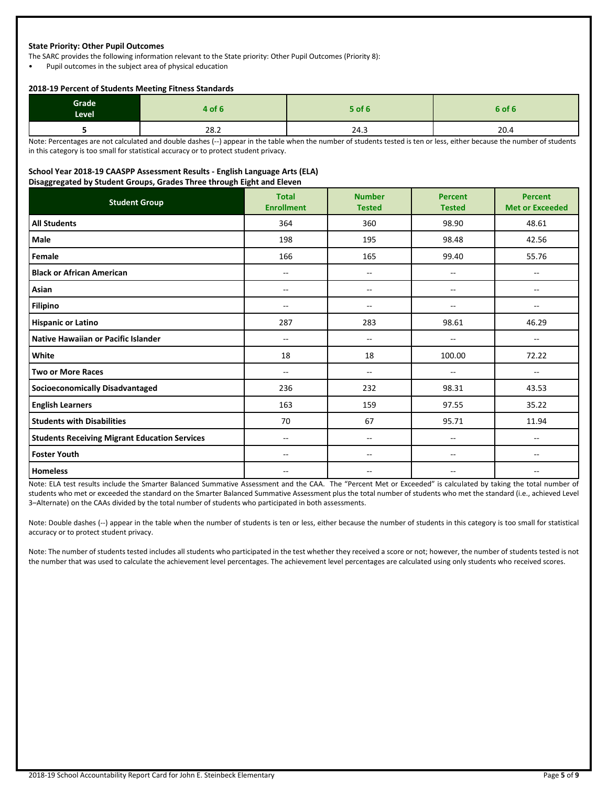#### **State Priority: Other Pupil Outcomes**

The SARC provides the following information relevant to the State priority: Other Pupil Outcomes (Priority 8):

• Pupil outcomes in the subject area of physical education

#### **2018-19 Percent of Students Meeting Fitness Standards**

| Grade<br>Level | 4 of 6 | <b>5 of 6</b> | 6 of 6 |
|----------------|--------|---------------|--------|
|                | 28.2   | 24.3          | 20.4   |

Note: Percentages are not calculated and double dashes (--) appear in the table when the number of students tested is ten or less, either because the number of students in this category is too small for statistical accuracy or to protect student privacy.

#### **School Year 2018-19 CAASPP Assessment Results - English Language Arts (ELA) Disaggregated by Student Groups, Grades Three through Eight and Eleven**

| <b>Student Group</b>                                 | <b>Total</b><br><b>Enrollment</b> | <b>Number</b><br><b>Tested</b> | <b>Percent</b><br><b>Tested</b> | <b>Percent</b><br><b>Met or Exceeded</b> |
|------------------------------------------------------|-----------------------------------|--------------------------------|---------------------------------|------------------------------------------|
| <b>All Students</b>                                  | 364                               | 360                            | 98.90                           | 48.61                                    |
| Male                                                 | 198                               | 195                            | 98.48                           | 42.56                                    |
| Female                                               | 166                               | 165                            | 99.40                           | 55.76                                    |
| <b>Black or African American</b>                     | $\overline{\phantom{a}}$          | $\overline{\phantom{a}}$       | --                              | $\sim$                                   |
| Asian                                                | $\overline{\phantom{a}}$          | $\overline{\phantom{m}}$       | $\overline{\phantom{m}}$        | $\overline{\phantom{m}}$                 |
| Filipino                                             | $\overline{\phantom{a}}$          | $\overline{\phantom{a}}$       | --                              | --                                       |
| <b>Hispanic or Latino</b>                            | 287                               | 283                            | 98.61                           | 46.29                                    |
| Native Hawaiian or Pacific Islander                  | --                                | $\overline{\phantom{m}}$       | --                              | $\overline{\phantom{a}}$                 |
| White                                                | 18                                | 18                             | 100.00                          | 72.22                                    |
| <b>Two or More Races</b>                             | $\overline{\phantom{a}}$          | $\overline{\phantom{a}}$       | --                              | $\overline{\phantom{a}}$                 |
| <b>Socioeconomically Disadvantaged</b>               | 236                               | 232                            | 98.31                           | 43.53                                    |
| <b>English Learners</b>                              | 163                               | 159                            | 97.55                           | 35.22                                    |
| <b>Students with Disabilities</b>                    | 70                                | 67                             | 95.71                           | 11.94                                    |
| <b>Students Receiving Migrant Education Services</b> | --                                | $\overline{\phantom{m}}$       | --                              |                                          |
| <b>Foster Youth</b>                                  | --                                | $\overline{\phantom{a}}$       | --                              | $\sim$                                   |
| <b>Homeless</b>                                      | --                                | --                             | --                              |                                          |

Note: ELA test results include the Smarter Balanced Summative Assessment and the CAA. The "Percent Met or Exceeded" is calculated by taking the total number of students who met or exceeded the standard on the Smarter Balanced Summative Assessment plus the total number of students who met the standard (i.e., achieved Level 3–Alternate) on the CAAs divided by the total number of students who participated in both assessments.

Note: Double dashes (--) appear in the table when the number of students is ten or less, either because the number of students in this category is too small for statistical accuracy or to protect student privacy.

Note: The number of students tested includes all students who participated in the test whether they received a score or not; however, the number of students tested is not the number that was used to calculate the achievement level percentages. The achievement level percentages are calculated using only students who received scores.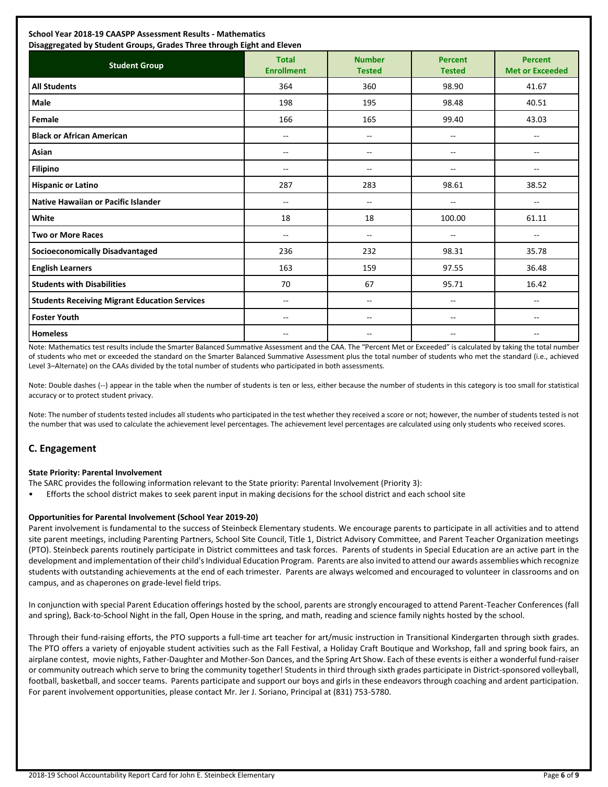| <b>Student Group</b>                                 | <b>Total</b><br><b>Enrollment</b> | <b>Number</b><br><b>Tested</b> | <b>Percent</b><br><b>Tested</b> | <b>Percent</b><br><b>Met or Exceeded</b> |
|------------------------------------------------------|-----------------------------------|--------------------------------|---------------------------------|------------------------------------------|
| <b>All Students</b>                                  | 364                               | 360                            | 98.90                           | 41.67                                    |
| Male                                                 | 198                               | 195                            | 98.48                           | 40.51                                    |
| Female                                               | 166                               | 165                            | 99.40                           | 43.03                                    |
| <b>Black or African American</b>                     | --                                | --                             | --                              | $-$                                      |
| Asian                                                | --                                | --                             | --                              | $-$                                      |
| <b>Filipino</b>                                      | --                                | $-$                            | $\overline{a}$                  | $\overline{a}$                           |
| <b>Hispanic or Latino</b>                            | 287                               | 283                            | 98.61                           | 38.52                                    |
| <b>Native Hawaiian or Pacific Islander</b>           | $-$                               | $-$                            | $\overline{a}$                  | $-$                                      |
| White                                                | 18                                | 18                             | 100.00                          | 61.11                                    |
| <b>Two or More Races</b>                             | --                                | --                             | --                              | --                                       |
| <b>Socioeconomically Disadvantaged</b>               | 236                               | 232                            | 98.31                           | 35.78                                    |
| <b>English Learners</b>                              | 163                               | 159                            | 97.55                           | 36.48                                    |
| <b>Students with Disabilities</b>                    | 70                                | 67                             | 95.71                           | 16.42                                    |
| <b>Students Receiving Migrant Education Services</b> | --                                | --                             | --                              | --                                       |
| <b>Foster Youth</b>                                  | $-$                               | --                             | $-$                             | $-$                                      |
| <b>Homeless</b>                                      | --                                | --                             | --                              |                                          |

Note: Mathematics test results include the Smarter Balanced Summative Assessment and the CAA. The "Percent Met or Exceeded" is calculated by taking the total number of students who met or exceeded the standard on the Smarter Balanced Summative Assessment plus the total number of students who met the standard (i.e., achieved Level 3–Alternate) on the CAAs divided by the total number of students who participated in both assessments.

Note: Double dashes (--) appear in the table when the number of students is ten or less, either because the number of students in this category is too small for statistical accuracy or to protect student privacy.

Note: The number of students tested includes all students who participated in the test whether they received a score or not; however, the number of students tested is not the number that was used to calculate the achievement level percentages. The achievement level percentages are calculated using only students who received scores.

## **C. Engagement**

#### **State Priority: Parental Involvement**

The SARC provides the following information relevant to the State priority: Parental Involvement (Priority 3):

• Efforts the school district makes to seek parent input in making decisions for the school district and each school site

#### **Opportunities for Parental Involvement (School Year 2019-20)**

Parent involvement is fundamental to the success of Steinbeck Elementary students. We encourage parents to participate in all activities and to attend site parent meetings, including Parenting Partners, School Site Council, Title 1, District Advisory Committee, and Parent Teacher Organization meetings (PTO). Steinbeck parents routinely participate in District committees and task forces. Parents of students in Special Education are an active part in the development and implementation of their child's Individual Education Program. Parents are also invited to attend our awards assemblies which recognize students with outstanding achievements at the end of each trimester. Parents are always welcomed and encouraged to volunteer in classrooms and on campus, and as chaperones on grade-level field trips.

In conjunction with special Parent Education offerings hosted by the school, parents are strongly encouraged to attend Parent-Teacher Conferences (fall and spring), Back-to-School Night in the fall, Open House in the spring, and math, reading and science family nights hosted by the school.

Through their fund-raising efforts, the PTO supports a full-time art teacher for art/music instruction in Transitional Kindergarten through sixth grades. The PTO offers a variety of enjoyable student activities such as the Fall Festival, a Holiday Craft Boutique and Workshop, fall and spring book fairs, an airplane contest, movie nights, Father-Daughter and Mother-Son Dances, and the Spring Art Show. Each of these events is either a wonderful fund-raiser or community outreach which serve to bring the community together! Students in third through sixth grades participate in District-sponsored volleyball, football, basketball, and soccer teams. Parents participate and support our boys and girls in these endeavors through coaching and ardent participation. For parent involvement opportunities, please contact Mr. Jer J. Soriano, Principal at (831) 753-5780.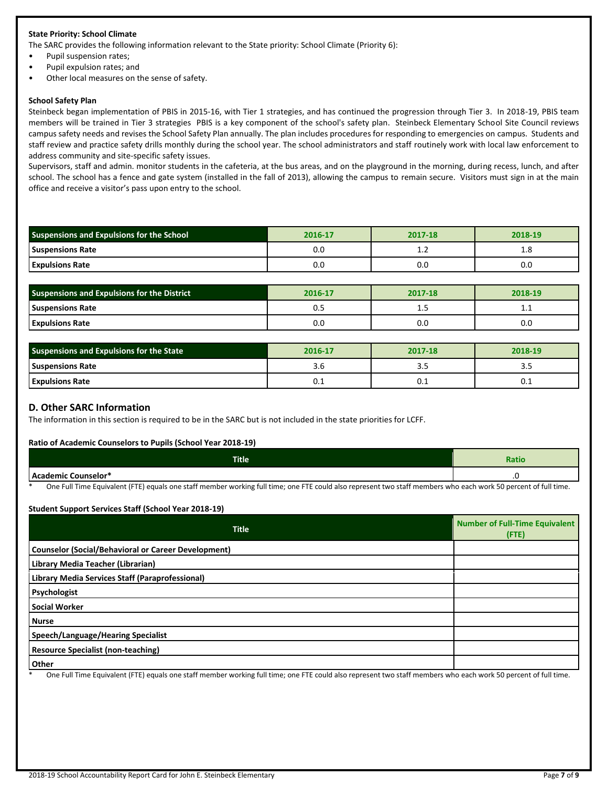#### **State Priority: School Climate**

The SARC provides the following information relevant to the State priority: School Climate (Priority 6):

- Pupil suspension rates;
- Pupil expulsion rates; and
- Other local measures on the sense of safety.

#### **School Safety Plan**

Steinbeck began implementation of PBIS in 2015-16, with Tier 1 strategies, and has continued the progression through Tier 3. In 2018-19, PBIS team members will be trained in Tier 3 strategies PBIS is a key component of the school's safety plan. Steinbeck Elementary School Site Council reviews campus safety needs and revises the School Safety Plan annually. The plan includes procedures for responding to emergencies on campus. Students and staff review and practice safety drills monthly during the school year. The school administrators and staff routinely work with local law enforcement to address community and site-specific safety issues.

Supervisors, staff and admin. monitor students in the cafeteria, at the bus areas, and on the playground in the morning, during recess, lunch, and after school. The school has a fence and gate system (installed in the fall of 2013), allowing the campus to remain secure. Visitors must sign in at the main office and receive a visitor's pass upon entry to the school.

| <b>Suspensions and Expulsions for the School</b> | 2016-17 | 2017-18      | 2018-19 |  |
|--------------------------------------------------|---------|--------------|---------|--|
| <b>Suspensions Rate</b>                          | 0.0     | . . <u>.</u> | 1.8     |  |
| <b>Expulsions Rate</b>                           | 0.C     | 0.0          | 0.0     |  |

| <b>Suspensions and Expulsions for the District</b> | 2016-17 | 2017-18 | 2018-19 |
|----------------------------------------------------|---------|---------|---------|
| <b>Suspensions Rate</b>                            | U. .    | ב. ב    | ᆠᆞᆠ     |
| <b>Expulsions Rate</b>                             | 0.0     | 0.0     | 0.0     |

| <b>Suspensions and Expulsions for the State</b> | 2016-17 | 2017-18 | 2018-19 |
|-------------------------------------------------|---------|---------|---------|
| <b>Suspensions Rate</b>                         | 3.6     | ر. د    | כ.כ     |
| <b>Expulsions Rate</b>                          | v.⊥     | ∪.⊥     | ◡…      |

#### **D. Other SARC Information**

The information in this section is required to be in the SARC but is not included in the state priorities for LCFF.

#### **Ratio of Academic Counselors to Pupils (School Year 2018-19)**

| <b>Title</b>                                                                                                                                                                         | Ratio                               |  |  |
|--------------------------------------------------------------------------------------------------------------------------------------------------------------------------------------|-------------------------------------|--|--|
| Acad<br>lemic Counselor*                                                                                                                                                             | $\cdot$                             |  |  |
| <b>CC</b><br>$  -$<br>$\cdots$<br>$\epsilon$<br>$\sim$<br>$\cdot$ $\cdot$<br>____<br>$\overline{\phantom{0}}$<br>$\lambda$ $  \lambda$<br>$\sim$ $\sim$<br>and a series of<br>$\sim$ | $\sim$ $\sim$ $\sim$ $\sim$<br>$ -$ |  |  |

One Full Time Equivalent (FTE) equals one staff member working full time; one FTE could also represent two staff members who each work 50 percent of full time.

**Student Support Services Staff (School Year 2018-19)**

| <b>Title</b>                                               | <b>Number of Full-Time Equivalent</b><br>(FTE) |
|------------------------------------------------------------|------------------------------------------------|
| <b>Counselor (Social/Behavioral or Career Development)</b> |                                                |
| Library Media Teacher (Librarian)                          |                                                |
| Library Media Services Staff (Paraprofessional)            |                                                |
| Psychologist                                               |                                                |
| <b>Social Worker</b>                                       |                                                |
| <b>Nurse</b>                                               |                                                |
| Speech/Language/Hearing Specialist                         |                                                |
| <b>Resource Specialist (non-teaching)</b>                  |                                                |
| <b>Other</b>                                               |                                                |

One Full Time Equivalent (FTE) equals one staff member working full time; one FTE could also represent two staff members who each work 50 percent of full time.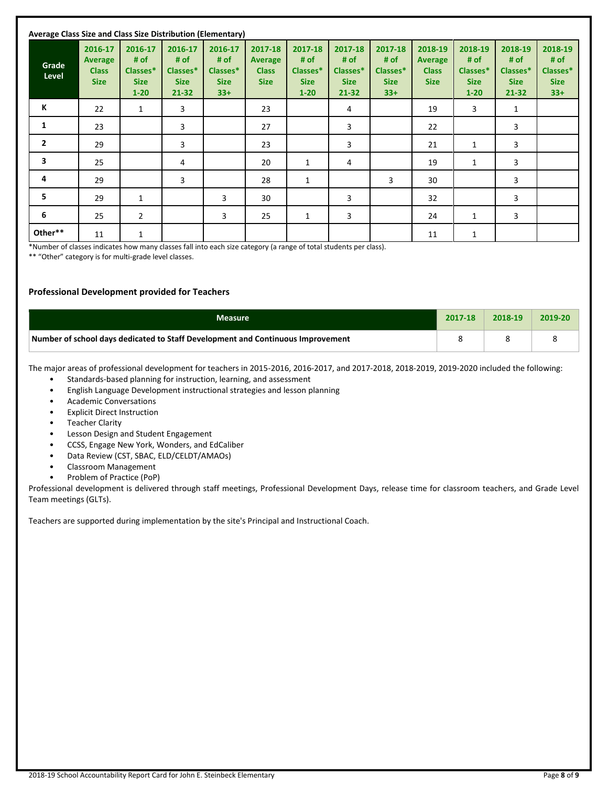| Average Class Size and Class Size Distribution (Elementary) |                                                   |                                                        |                                                         |                                                     |                                                          |                                                        |                                                         |                                                     |                                                          |                                                        |                                                         |                                                     |
|-------------------------------------------------------------|---------------------------------------------------|--------------------------------------------------------|---------------------------------------------------------|-----------------------------------------------------|----------------------------------------------------------|--------------------------------------------------------|---------------------------------------------------------|-----------------------------------------------------|----------------------------------------------------------|--------------------------------------------------------|---------------------------------------------------------|-----------------------------------------------------|
| Grade<br>Level                                              | 2016-17<br>Average<br><b>Class</b><br><b>Size</b> | 2016-17<br># of<br>Classes*<br><b>Size</b><br>$1 - 20$ | 2016-17<br># of<br>Classes*<br><b>Size</b><br>$21 - 32$ | 2016-17<br># of<br>Classes*<br><b>Size</b><br>$33+$ | 2017-18<br><b>Average</b><br><b>Class</b><br><b>Size</b> | 2017-18<br># of<br>Classes*<br><b>Size</b><br>$1 - 20$ | 2017-18<br># of<br>Classes*<br><b>Size</b><br>$21 - 32$ | 2017-18<br># of<br>Classes*<br><b>Size</b><br>$33+$ | 2018-19<br><b>Average</b><br><b>Class</b><br><b>Size</b> | 2018-19<br># of<br>Classes*<br><b>Size</b><br>$1 - 20$ | 2018-19<br># of<br>Classes*<br><b>Size</b><br>$21 - 32$ | 2018-19<br># of<br>Classes*<br><b>Size</b><br>$33+$ |
| К                                                           | 22                                                | 1                                                      | 3                                                       |                                                     | 23                                                       |                                                        | 4                                                       |                                                     | 19                                                       | 3                                                      | 1                                                       |                                                     |
| 1                                                           | 23                                                |                                                        | 3                                                       |                                                     | 27                                                       |                                                        | 3                                                       |                                                     | 22                                                       |                                                        | 3                                                       |                                                     |
| $\overline{2}$                                              | 29                                                |                                                        | 3                                                       |                                                     | 23                                                       |                                                        | 3                                                       |                                                     | 21                                                       | $\mathbf{1}$                                           | 3                                                       |                                                     |
| 3                                                           | 25                                                |                                                        | 4                                                       |                                                     | 20                                                       | $\mathbf{1}$                                           | 4                                                       |                                                     | 19                                                       | $\mathbf{1}$                                           | 3                                                       |                                                     |
| 4                                                           | 29                                                |                                                        | 3                                                       |                                                     | 28                                                       | 1                                                      |                                                         | 3                                                   | 30                                                       |                                                        | 3                                                       |                                                     |
| 5                                                           | 29                                                | $\mathbf{1}$                                           |                                                         | 3                                                   | 30                                                       |                                                        | 3                                                       |                                                     | 32                                                       |                                                        | 3                                                       |                                                     |
| 6                                                           | 25                                                | $\overline{2}$                                         |                                                         | 3                                                   | 25                                                       | 1                                                      | 3                                                       |                                                     | 24                                                       | 1                                                      | 3                                                       |                                                     |
| Other**                                                     | 11                                                | 1                                                      |                                                         |                                                     |                                                          |                                                        |                                                         |                                                     | 11                                                       | 1                                                      |                                                         |                                                     |

\*Number of classes indicates how many classes fall into each size category (a range of total students per class).

\*\* "Other" category is for multi-grade level classes.

#### **Professional Development provided for Teachers**

| <b>Measure</b>                                                                  | 2017-18 | 2018-19 | 2019-20 |
|---------------------------------------------------------------------------------|---------|---------|---------|
| Number of school days dedicated to Staff Development and Continuous Improvement |         |         |         |

The major areas of professional development for teachers in 2015-2016, 2016-2017, and 2017-2018, 2018-2019, 2019-2020 included the following:

- Standards-based planning for instruction, learning, and assessment
- English Language Development instructional strategies and lesson planning
- Academic Conversations
- **Explicit Direct Instruction**
- **Teacher Clarity**
- Lesson Design and Student Engagement
- CCSS, Engage New York, Wonders, and EdCaliber
- Data Review (CST, SBAC, ELD/CELDT/AMAOs)
- Classroom Management
- Problem of Practice (PoP)

Professional development is delivered through staff meetings, Professional Development Days, release time for classroom teachers, and Grade Level Team meetings (GLTs).

Teachers are supported during implementation by the site's Principal and Instructional Coach.